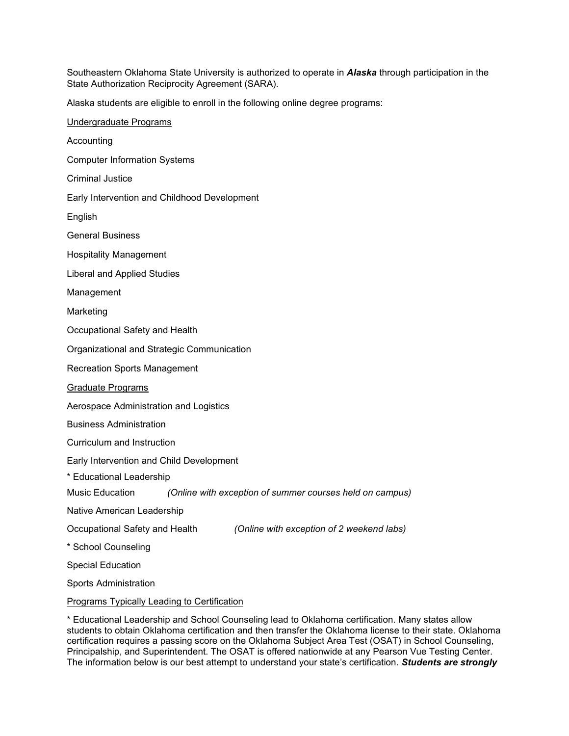Southeastern Oklahoma State University is authorized to operate in *Alaska* through participation in the State Authorization Reciprocity Agreement (SARA).

Alaska students are eligible to enroll in the following online degree programs:

Undergraduate Programs Accounting Computer Information Systems Criminal Justice Early Intervention and Childhood Development English General Business Hospitality Management Liberal and Applied Studies Management Marketing Occupational Safety and Health Organizational and Strategic Communication Recreation Sports Management Graduate Programs Aerospace Administration and Logistics Business Administration Curriculum and Instruction Early Intervention and Child Development \* Educational Leadership Music Education *(Online with exception of summer courses held on campus)* Native American Leadership Occupational Safety and Health *(Online with exception of 2 weekend labs)* \* School Counseling Special Education Sports Administration Programs Typically Leading to Certification

\* Educational Leadership and School Counseling lead to Oklahoma certification. Many states allow students to obtain Oklahoma certification and then transfer the Oklahoma license to their state. Oklahoma certification requires a passing score on the Oklahoma Subject Area Test (OSAT) in School Counseling, Principalship, and Superintendent. The OSAT is offered nationwide at any Pearson Vue Testing Center. The information below is our best attempt to understand your state's certification. *Students are strongly*